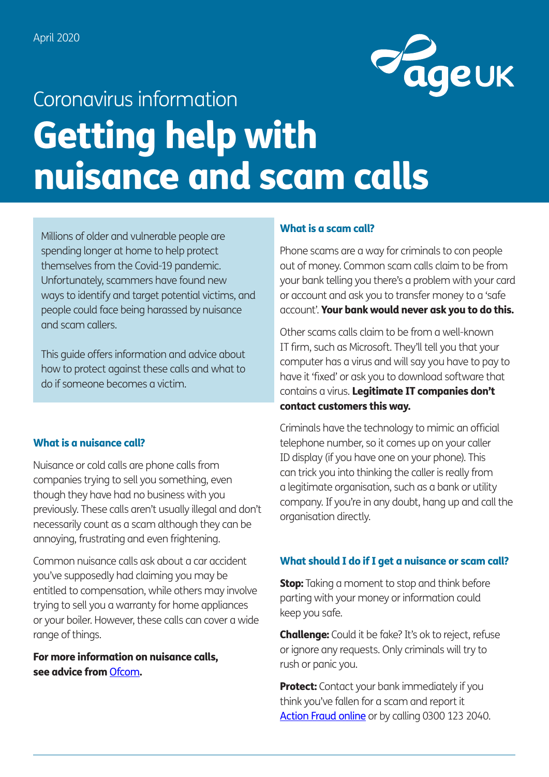

# Getting help with nuisance and scam calls Coronavirus information

Millions of older and vulnerable people are spending longer at home to help protect themselves from the Covid-19 pandemic. Unfortunately, scammers have found new ways to identify and target potential victims, and people could face being harassed by nuisance and scam callers.

This guide offers information and advice about how to protect against these calls and what to do if someone becomes a victim.

# What is a nuisance call?

Nuisance or cold calls are phone calls from companies trying to sell you something, even though they have had no business with you previously. These calls aren't usually illegal and don't necessarily count as a scam although they can be annoying, frustrating and even frightening.

Common nuisance calls ask about a car accident you've supposedly had claiming you may be entitled to compensation, while others may involve trying to sell you a warranty for home appliances or your boiler. However, these calls can cover a wide range of things.

For more information on nuisance calls, see advice from [Ofcom](https://www.ofcom.org.uk/phones-telecoms-and-internet/advice-for-consumers/problems/tackling-nuisance-calls-and-messages).

# What is a scam call?

Phone scams are a way for criminals to con people out of money. Common scam calls claim to be from your bank telling you there's a problem with your card or account and ask you to transfer money to a 'safe account'. Your bank would never ask you to do this.

Other scams calls claim to be from a well-known IT firm, such as Microsoft. They'll tell you that your computer has a virus and will say you have to pay to have it 'fixed' or ask you to download software that contains a virus. Legitimate IT companies don't contact customers this way.

Criminals have the technology to mimic an official telephone number, so it comes up on your caller ID display (if you have one on your phone). This can trick you into thinking the caller is really from a legitimate organisation, such as a bank or utility company. If you're in any doubt, hang up and call the organisation directly.

# What should I do if I get a nuisance or scam call?

**Stop:** Taking a moment to stop and think before parting with your money or information could keep you safe.

**Challenge:** Could it be fake? It's ok to reject, refuse or ignore any requests. Only criminals will try to rush or panic you.

**Protect:** Contact your bank immediately if you think you've fallen for a scam and report it [Action Fraud online](https://www.actionfraud.police.uk) or by calling 0300 123 2040.